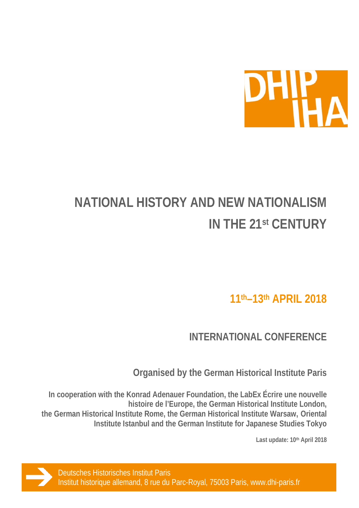

# **NATIONAL HISTORY AND NEW NATIONALISM IN THE 21st CENTURY**

**11th–13th APRIL 2018**

**INTERNATIONAL CONFERENCE**

**Organised by the German Historical Institute Paris**

**In cooperation with the Konrad Adenauer Foundation, the LabEx Écrire une nouvelle histoire de l'Europe, the German Historical Institute London, the German Historical Institute Rome, the German Historical Institute Warsaw, Oriental Institute Istanbul and the German Institute for Japanese Studies Tokyo**

**Last update: 10th April 2018**

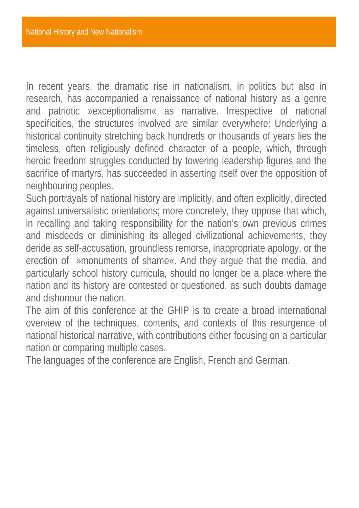In recent years, the dramatic rise in nationalism, in politics but also in research, has accompanied a renaissance of national history as a genre and patriotic »exceptionalism« as narrative. Irrespective of national specificities, the structures involved are similar everywhere: Underlying a historical continuity stretching back hundreds or thousands of years lies the timeless, often religiously defined character of a people, which, through heroic freedom struggles conducted by towering leadership figures and the sacrifice of martyrs, has succeeded in asserting itself over the opposition of neighbouring peoples.

Such portrayals of national history are implicitly, and often explicitly, directed against universalistic orientations; more concretely, they oppose that which, in recalling and taking responsibility for the nation's own previous crimes and misdeeds or diminishing its alleged civilizational achievements, they deride as self-accusation, groundless remorse, inappropriate apology, or the erection of »monuments of shame«. And they argue that the media, and particularly school history curricula, should no longer be a place where the nation and its history are contested or questioned, as such doubts damage and dishonour the nation.

The aim of this conference at the GHIP is to create a broad international overview of the techniques, contents, and contexts of this resurgence of national historical narrative, with contributions either focusing on a particular nation or comparing multiple cases.

The languages of the conference are English, French and German.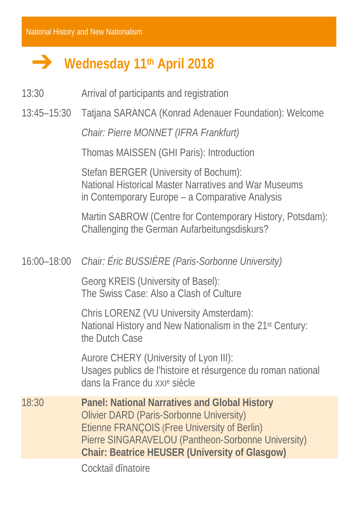## **Wednesday 11th April 2018**

- 13:30 Arrival of participants and registration
- 13:45–15:30 Tatjana SARANCA (Konrad Adenauer Foundation): Welcome

*Chair: Pierre MONNET (IFRA Frankfurt)*

Thomas MAISSEN (GHI Paris): Introduction

Stefan BERGER (University of Bochum): National Historical Master Narratives and War Museums in Contemporary Europe – a Comparative Analysis

Martin SABROW (Centre for Contemporary History, Potsdam): Challenging the German Aufarbeitungsdiskurs?

#### 16:00–18:00 *Chair: Éric BUSSIÈRE (Paris-Sorbonne University)*

Georg KREIS (University of Basel): The Swiss Case: Also a Clash of Culture

Chris LORENZ (VU University Amsterdam): National History and New Nationalism in the 21st Century: the Dutch Case

Aurore CHERY (University of Lyon III): Usages publics de l'histoire et résurgence du roman national dans la France du XXIe siècle

18:30 **Panel: National Narratives and Global History** Olivier DARD (Paris-Sorbonne University) Etienne FRANÇOIS (Free University of Berlin) Pierre SINGARAVELOU (Pantheon-Sorbonne University) **Chair: Beatrice HEUSER (University of Glasgow)**

Cocktail dînatoire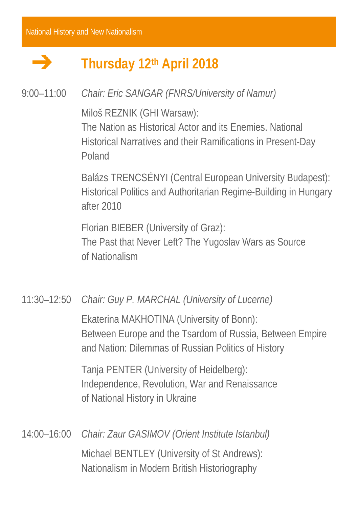#### — **Thursday 12th April 2018**

## 9:00–11:00 *Chair: Eric SANGAR (FNRS/University of Namur)*

Miloš REZNIK (GHI Warsaw):

The Nation as Historical Actor and its Enemies. National Historical Narratives and their Ramifications in Present-Day Poland

Balázs TRENCSÉNYI (Central European University Budapest): Historical Politics and Authoritarian Regime-Building in Hungary after 2010

Florian BIEBER (University of Graz): The Past that Never Left? The Yugoslav Wars as Source of Nationalism

11:30–12:50 *Chair: Guy P. MARCHAL (University of Lucerne)*

Ekaterina MAKHOTINA (University of Bonn): Between Europe and the Tsardom of Russia, Between Empire and Nation: Dilemmas of Russian Politics of History

Tanja PENTER (University of Heidelberg): Independence, Revolution, War and Renaissance of National History in Ukraine

14:00–16:00 *Chair: Zaur GASIMOV (Orient Institute Istanbul)*  Michael BENTLEY (University of St Andrews): Nationalism in Modern British Historiography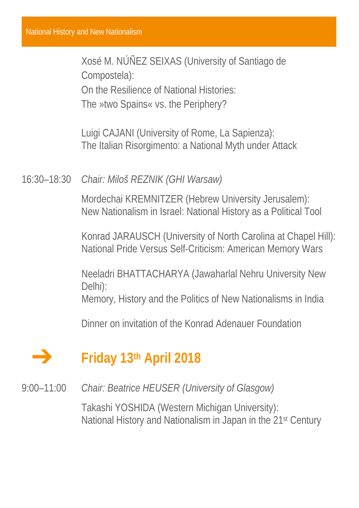Xosé M. NÚÑEZ SEIXAS (University of Santiago de Compostela): On the Resilience of National Histories: The »two Spains« vs. the Periphery?

Luigi CAJANI (University of Rome, La Sapienza): The Italian Risorgimento: a National Myth under Attack

16:30–18:30 *Chair: Miloš REZNIK (GHI Warsaw)*

Mordechai KREMNITZER (Hebrew University Jerusalem): New Nationalism in Israel: National History as a Political Tool

Konrad JARAUSCH (University of North Carolina at Chapel Hill): National Pride Versus Self-Criticism: American Memory Wars

Neeladri BHATTACHARYA (Jawaharlal Nehru University New Delhi):

Memory, History and the Politics of New Nationalisms in India

Dinner on invitation of the Konrad Adenauer Foundation

## **Friday 13th April 2018**

9:00–11:00 *Chair: Beatrice HEUSER (University of Glasgow)* 

Takashi YOSHIDA (Western Michigan University): National History and Nationalism in Japan in the 21st Century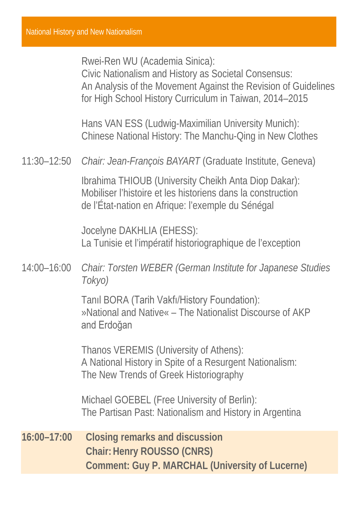Rwei-Ren WU (Academia Sinica):

Civic Nationalism and History as Societal Consensus: An Analysis of the Movement Against the Revision of Guidelines for High School History Curriculum in Taiwan, 2014–2015

Hans VAN ESS (Ludwig-Maximilian University Munich): Chinese National History: The Manchu-Qing in New Clothes

11:30–12:50 *Chair: Jean-François BAYART* (Graduate Institute, Geneva)

Ibrahima THIOUB (University Cheikh Anta Diop Dakar): Mobiliser l'histoire et les historiens dans la construction de l'État-nation en Afrique: l'exemple du Sénégal

Jocelyne DAKHLIA (EHESS): La Tunisie et l'impératif historiographique de l'exception

14:00–16:00 *Chair: Torsten WEBER (German Institute for Japanese Studies Tokyo)*

> Tanıl BORA (Tarih Vakfı/History Foundation): »National and Native« – The Nationalist Discourse of AKP and Erdoğan

Thanos VEREMIS (University of Athens): A National History in Spite of a Resurgent Nationalism: The New Trends of Greek Historiography

Michael GOEBEL (Free University of Berlin): The Partisan Past: Nationalism and History in Argentina

**16:00–17:00 Closing remarks and discussion Chair: Henry ROUSSO (CNRS) Comment: Guy P. MARCHAL (University of Lucerne)**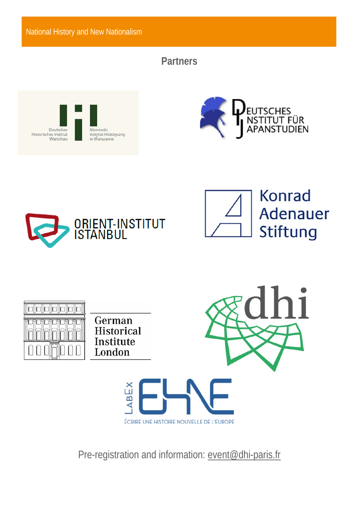National History and New Nationalism

### **Partners**











German **Historical** Institute London





Pre-registration and information: event@dhi-paris.fr